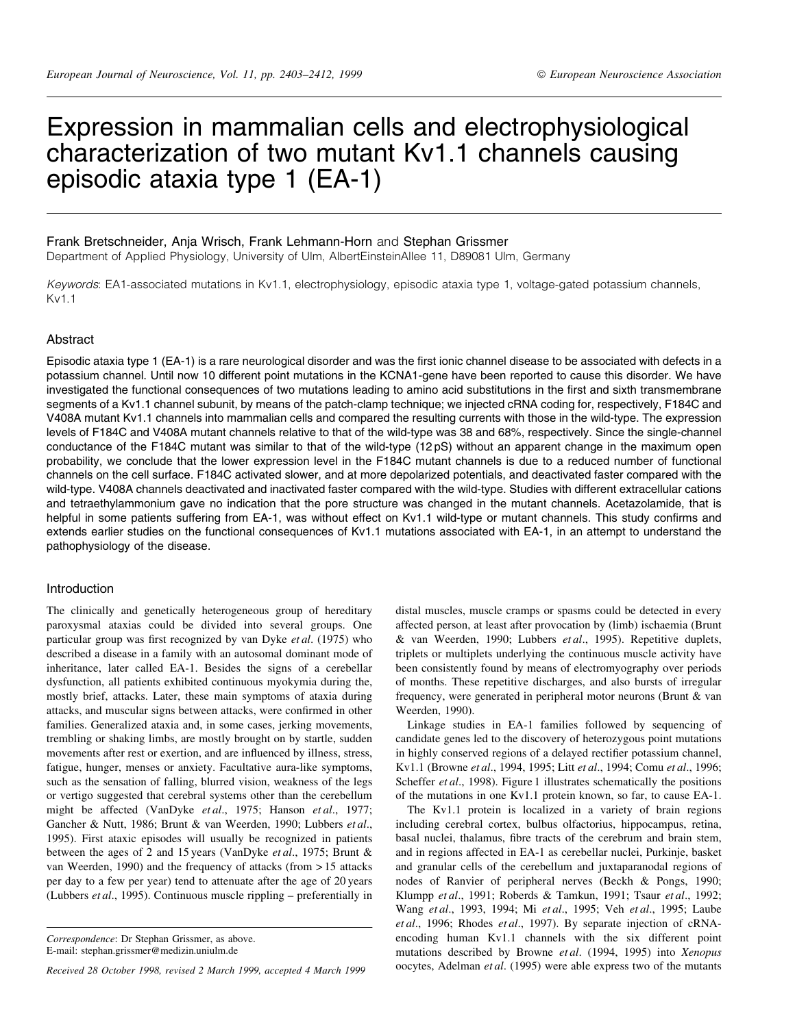# Expression in mammalian cells and electrophysiological characterization of two mutant Kv1.1 channels causing episodic ataxia type 1 (EA-1)

# Frank Bretschneider, Anja Wrisch, Frank Lehmann-Horn and Stephan Grissmer

Department of Applied Physiology, University of Ulm, AlbertEinsteinAllee 11, D89081 Ulm, Germany

Keywords: EA1-associated mutations in Kv1.1, electrophysiology, episodic ataxia type 1, voltage-gated potassium channels, Kv1.1

## Abstract

Episodic ataxia type 1 (EA-1) is a rare neurological disorder and was the first ionic channel disease to be associated with defects in a potassium channel. Until now 10 different point mutations in the KCNA1-gene have been reported to cause this disorder. We have investigated the functional consequences of two mutations leading to amino acid substitutions in the first and sixth transmembrane segments of a Kv1.1 channel subunit, by means of the patch-clamp technique; we injected cRNA coding for, respectively, F184C and V408A mutant Kv1.1 channels into mammalian cells and compared the resulting currents with those in the wild-type. The expression levels of F184C and V408A mutant channels relative to that of the wild-type was 38 and 68%, respectively. Since the single-channel conductance of the F184C mutant was similar to that of the wild-type (12 pS) without an apparent change in the maximum open probability, we conclude that the lower expression level in the F184C mutant channels is due to a reduced number of functional channels on the cell surface. F184C activated slower, and at more depolarized potentials, and deactivated faster compared with the wild-type. V408A channels deactivated and inactivated faster compared with the wild-type. Studies with different extracellular cations and tetraethylammonium gave no indication that the pore structure was changed in the mutant channels. Acetazolamide, that is helpful in some patients suffering from EA-1, was without effect on Kv1.1 wild-type or mutant channels. This study confirms and extends earlier studies on the functional consequences of Kv1.1 mutations associated with EA-1, in an attempt to understand the pathophysiology of the disease.

## Introduction

The clinically and genetically heterogeneous group of hereditary paroxysmal ataxias could be divided into several groups. One particular group was first recognized by van Dyke et al. (1975) who described a disease in a family with an autosomal dominant mode of inheritance, later called EA-1. Besides the signs of a cerebellar dysfunction, all patients exhibited continuous myokymia during the, mostly brief, attacks. Later, these main symptoms of ataxia during attacks, and muscular signs between attacks, were confirmed in other families. Generalized ataxia and, in some cases, jerking movements, trembling or shaking limbs, are mostly brought on by startle, sudden movements after rest or exertion, and are influenced by illness, stress, fatigue, hunger, menses or anxiety. Facultative aura-like symptoms, such as the sensation of falling, blurred vision, weakness of the legs or vertigo suggested that cerebral systems other than the cerebellum might be affected (VanDyke et al., 1975; Hanson et al., 1977; Gancher & Nutt, 1986; Brunt & van Weerden, 1990; Lubbers et al., 1995). First ataxic episodes will usually be recognized in patients between the ages of 2 and 15 years (VanDyke et al., 1975; Brunt & van Weerden, 1990) and the frequency of attacks (from > 15 attacks per day to a few per year) tend to attenuate after the age of 20 years (Lubbers  $et al., 1995$ ). Continuous muscle rippling  $-$  preferentially in

Received 28 October 1998, revised 2 March 1999, accepted 4 March 1999

distal muscles, muscle cramps or spasms could be detected in every affected person, at least after provocation by (limb) ischaemia (Brunt & van Weerden, 1990; Lubbers et al., 1995). Repetitive duplets, triplets or multiplets underlying the continuous muscle activity have been consistently found by means of electromyography over periods of months. These repetitive discharges, and also bursts of irregular frequency, were generated in peripheral motor neurons (Brunt & van Weerden, 1990).

Linkage studies in EA-1 families followed by sequencing of candidate genes led to the discovery of heterozygous point mutations in highly conserved regions of a delayed rectifier potassium channel, Kv1.1 (Browne et al., 1994, 1995; Litt et al., 1994; Comu et al., 1996; Scheffer et al., 1998). Figure 1 illustrates schematically the positions of the mutations in one Kv1.1 protein known, so far, to cause EA-1.

The Kv1.1 protein is localized in a variety of brain regions including cerebral cortex, bulbus olfactorius, hippocampus, retina, basal nuclei, thalamus, fibre tracts of the cerebrum and brain stem, and in regions affected in EA-1 as cerebellar nuclei, Purkinje, basket and granular cells of the cerebellum and juxtaparanodal regions of nodes of Ranvier of peripheral nerves (Beckh & Pongs, 1990; Klumpp et al., 1991; Roberds & Tamkun, 1991; Tsaur et al., 1992; Wang et al., 1993, 1994; Mi et al., 1995; Veh et al., 1995; Laube et al., 1996; Rhodes et al., 1997). By separate injection of cRNAencoding human Kv1.1 channels with the six different point mutations described by Browne et al. (1994, 1995) into Xenopus oocytes, Adelman et al. (1995) were able express two of the mutants

Correspondence: Dr Stephan Grissmer, as above. E-mail: stephan.grissmer@medizin.uniulm.de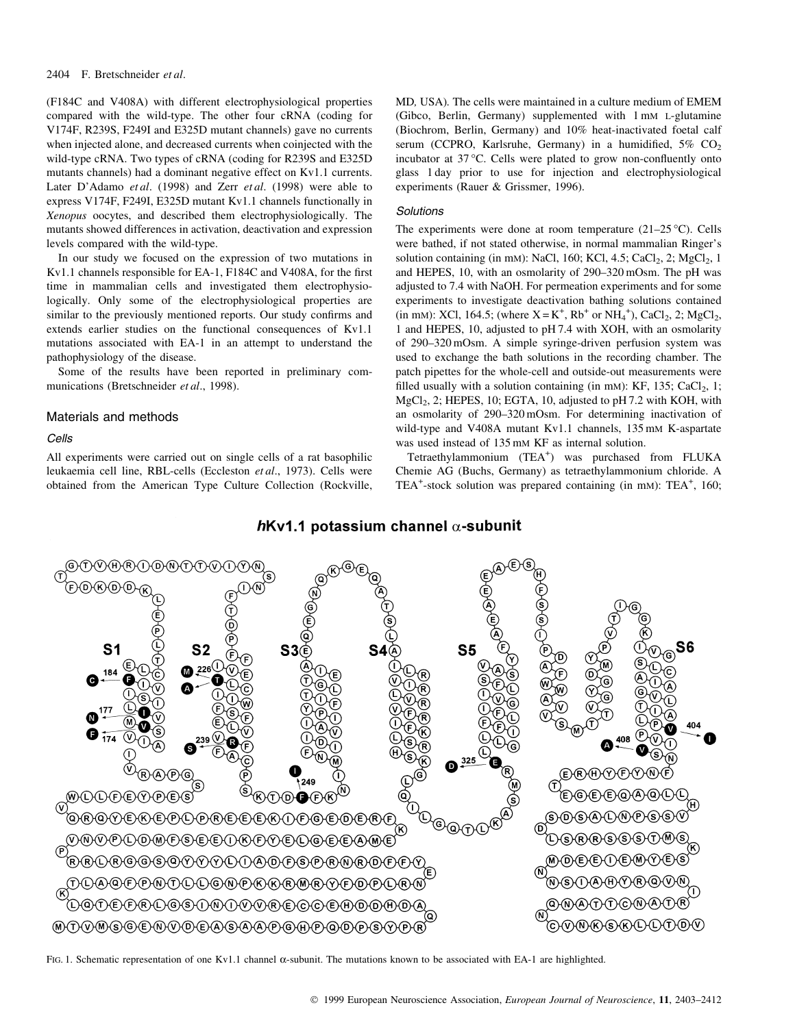## 2404 F. Bretschneider et al.

(F184C and V408A) with different electrophysiological properties compared with the wild-type. The other four cRNA (coding for V174F, R239S, F249I and E325D mutant channels) gave no currents when injected alone, and decreased currents when coinjected with the wild-type cRNA. Two types of cRNA (coding for R239S and E325D mutants channels) had a dominant negative effect on Kv1.1 currents. Later D'Adamo et al. (1998) and Zerr et al. (1998) were able to express V174F, F249I, E325D mutant Kv1.1 channels functionally in Xenopus oocytes, and described them electrophysiologically. The mutants showed differences in activation, deactivation and expression levels compared with the wild-type.

In our study we focused on the expression of two mutations in Kv1.1 channels responsible for EA-1, F184C and V408A, for the first time in mammalian cells and investigated them electrophysiologically. Only some of the electrophysiological properties are similar to the previously mentioned reports. Our study confirms and extends earlier studies on the functional consequences of Kv1.1 mutations associated with EA-1 in an attempt to understand the pathophysiology of the disease.

Some of the results have been reported in preliminary communications (Bretschneider et al., 1998).

# Materials and methods

Cells

All experiments were carried out on single cells of a rat basophilic leukaemia cell line, RBL-cells (Eccleston et al., 1973). Cells were obtained from the American Type Culture Collection (Rockville,

MD, USA). The cells were maintained in a culture medium of EMEM (Gibco, Berlin, Germany) supplemented with 1 mM L-glutamine (Biochrom, Berlin, Germany) and 10% heat-inactivated foetal calf serum (CCPRO, Karlsruhe, Germany) in a humidified,  $5\%$  CO<sub>2</sub> incubator at 37 °C. Cells were plated to grow non-confluently onto glass 1 day prior to use for injection and electrophysiological experiments (Rauer & Grissmer, 1996).

## **Solutions**

The experiments were done at room temperature  $(21-25 \degree C)$ . Cells were bathed, if not stated otherwise, in normal mammalian Ringer's solution containing (in mm): NaCl, 160; KCl, 4.5; CaCl<sub>2</sub>, 2; MgCl<sub>2</sub>, 1 and HEPES, 10, with an osmolarity of 290-320 mOsm. The pH was adjusted to 7.4 with NaOH. For permeation experiments and for some experiments to investigate deactivation bathing solutions contained (in mM): XCl, 164.5; (where  $X = K^{+}$ , Rb<sup>+</sup> or NH<sub>4</sub><sup>+</sup>), CaCl<sub>2</sub>, 2; MgCl<sub>2</sub>, 1 and HEPES, 10, adjusted to pH 7.4 with XOH, with an osmolarity of 290-320 mOsm. A simple syringe-driven perfusion system was used to exchange the bath solutions in the recording chamber. The patch pipettes for the whole-cell and outside-out measurements were filled usually with a solution containing (in mM): KF, 135; CaCl<sub>2</sub>, 1; MgCl<sub>2</sub>, 2; HEPES, 10; EGTA, 10, adjusted to pH 7.2 with KOH, with an osmolarity of 290-320 mOsm. For determining inactivation of wild-type and V408A mutant Kv1.1 channels, 135 mM K-aspartate was used instead of 135 mM KF as internal solution.

Tetraethylammonium (TEA<sup>+</sup>) was purchased from FLUKA Chemie AG (Buchs, Germany) as tetraethylammonium chloride. A TEA<sup>+</sup>-stock solution was prepared containing (in mM): TEA<sup>+</sup>, 160;

# $h$ Kv1.1 potassium channel  $\alpha$ -subunit



FIG. 1. Schematic representation of one Kv1.1 channel  $\alpha$ -subunit. The mutations known to be associated with EA-1 are highlighted.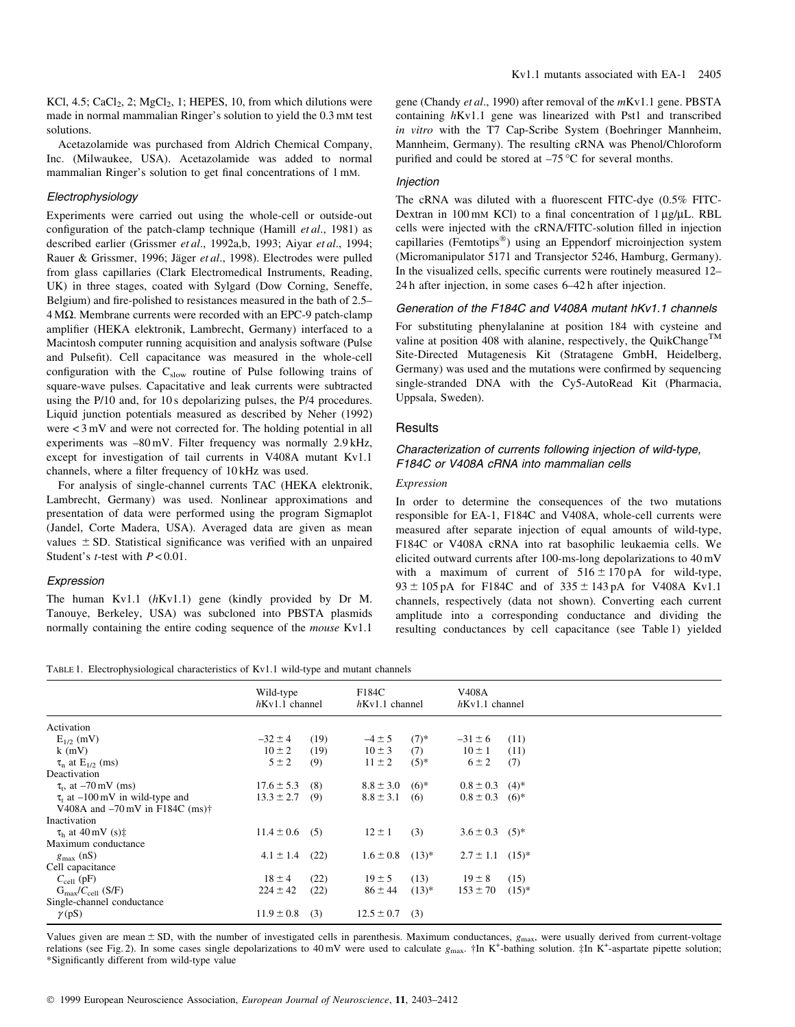KCl,  $4.5$ ; CaCl<sub>2</sub>, 2; MgCl<sub>2</sub>, 1; HEPES, 10, from which dilutions were made in normal mammalian Ringer's solution to yield the 0.3 mM test solutions.

Acetazolamide was purchased from Aldrich Chemical Company, Inc. (Milwaukee, USA). Acetazolamide was added to normal mammalian Ringer's solution to get final concentrations of 1 mM.

## Electrophysiology

Experiments were carried out using the whole-cell or outside-out configuration of the patch-clamp technique (Hamill  $et al., 1981$ ) as described earlier (Grissmer et al., 1992a,b, 1993; Aiyar et al., 1994; Rauer & Grissmer, 1996; Jäger et al., 1998). Electrodes were pulled from glass capillaries (Clark Electromedical Instruments, Reading, UK) in three stages, coated with Sylgard (Dow Corning, Seneffe, Belgium) and fire-polished to resistances measured in the bath of 2.5- $4 M\Omega$ . Membrane currents were recorded with an EPC-9 patch-clamp amplifier (HEKA elektronik, Lambrecht, Germany) interfaced to a Macintosh computer running acquisition and analysis software (Pulse and Pulsefit). Cell capacitance was measured in the whole-cell configuration with the  $C_{slow}$  routine of Pulse following trains of square-wave pulses. Capacitative and leak currents were subtracted using the P/10 and, for 10 s depolarizing pulses, the P/4 procedures. Liquid junction potentials measured as described by Neher (1992) were < 3 mV and were not corrected for. The holding potential in all experiments was -80 mV. Filter frequency was normally 2.9 kHz, except for investigation of tail currents in V408A mutant Kv1.1 channels, where a filter frequency of 10 kHz was used.

For analysis of single-channel currents TAC (HEKA elektronik, Lambrecht, Germany) was used. Nonlinear approximations and presentation of data were performed using the program Sigmaplot (Jandel, Corte Madera, USA). Averaged data are given as mean values  $\pm$  SD. Statistical significance was verified with an unpaired Student's  $t$ -test with  $P < 0.01$ .

#### Expression

The human Kv1.1 (hKv1.1) gene (kindly provided by Dr M. Tanouye, Berkeley, USA) was subcloned into PBSTA plasmids normally containing the entire coding sequence of the mouse Kv1.1

gene (Chandy et al., 1990) after removal of the  $mKv1.1$  gene. PBSTA containing hKv1.1 gene was linearized with Pst1 and transcribed in vitro with the T7 Cap-Scribe System (Boehringer Mannheim, Mannheim, Germany). The resulting cRNA was Phenol/Chloroform purified and could be stored at  $-75$  °C for several months.

#### Injection

The cRNA was diluted with a fluorescent FITC-dye  $(0.5\%$  FITC-Dextran in 100 mM KCl) to a final concentration of  $1 \mu g / \mu L$ . RBL cells were injected with the cRNA/FITC-solution filled in injection capillaries (Femtotips $^{\circledR}$ ) using an Eppendorf microinjection system (Micromanipulator 5171 and Transjector 5246, Hamburg, Germany). In the visualized cells, specific currents were routinely measured 12-24 h after injection, in some cases 6-42 h after injection.

## Generation of the F184C and V408A mutant hKv1.1 channels

For substituting phenylalanine at position 184 with cysteine and valine at position 408 with alanine, respectively, the QuikChange<sup>TM</sup> Site-Directed Mutagenesis Kit (Stratagene GmbH, Heidelberg, Germany) was used and the mutations were confirmed by sequencing single-stranded DNA with the Cy5-AutoRead Kit (Pharmacia, Uppsala, Sweden).

#### **Results**

# Characterization of currents following injection of wild-type, F184C or V408A cRNA into mammalian cells

## Expression

In order to determine the consequences of the two mutations responsible for EA-1, F184C and V408A, whole-cell currents were measured after separate injection of equal amounts of wild-type, F184C or V408A cRNA into rat basophilic leukaemia cells. We elicited outward currents after 100-ms-long depolarizations to 40 mV with a maximum of current of  $516 \pm 170$  pA for wild-type,  $93 \pm 105$  pA for F184C and of  $335 \pm 143$  pA for V408A Kv1.1 channels, respectively (data not shown). Converting each current amplitude into a corresponding conductance and dividing the resulting conductances by cell capacitance (see Table 1) yielded

TABLE 1. Electrophysiological characteristics of Kv1.1 wild-type and mutant channels

|                                                                             | Wild-type<br>$h$ Kv1.1 channel |      | F184C<br>$h$ Kv1.1 channel |         | V408A<br>$h$ Kv1.1 channel |         |
|-----------------------------------------------------------------------------|--------------------------------|------|----------------------------|---------|----------------------------|---------|
| Activation                                                                  |                                |      |                            |         |                            |         |
| $E_{1/2}$ (mV)                                                              | $-32 \pm 4$                    | (19) | $-4 \pm 5$                 | $(7)*$  | $-31 \pm 6$                | (11)    |
| $k$ (mV)                                                                    | $10 \pm 2$                     | (19) | $10 \pm 3$                 | (7)     | $10 \pm 1$                 | (11)    |
| $\tau_n$ at E <sub>1/2</sub> (ms)                                           | $5 \pm 2$                      | (9)  | $11 \pm 2$                 | $(5)*$  | $6 \pm 2$                  | (7)     |
| Deactivation                                                                |                                |      |                            |         |                            |         |
| $\tau_{\rm t}$ , at $-70 \,\rm mV$ (ms)                                     | $17.6 \pm 5.3$                 | (8)  | $8.8 \pm 3.0$              | $(6)*$  | $0.8 \pm 0.3$              | $(4)$ * |
| $\tau_t$ at $-100 \,\text{mV}$ in wild-type and                             | $13.3 \pm 2.7$                 | (9)  | $8.8 \pm 3.1$              | (6)     | $0.8 \pm 0.3$              | $(6)$ * |
| V408A and $-70 \,\mathrm{mV}$ in F184C (ms) <sup><math>\dagger</math></sup> |                                |      |                            |         |                            |         |
| Inactivation                                                                |                                |      |                            |         |                            |         |
| $\tau_{\rm h}$ at 40 mV (s) $\ddagger$                                      | $11.4 \pm 0.6$                 | (5)  | $12 \pm 1$                 | (3)     | $3.6 \pm 0.3$              | $(5)^*$ |
| Maximum conductance                                                         |                                |      |                            |         |                            |         |
| $g_{\text{max}}$ (nS)                                                       | $4.1 \pm 1.4$                  | (22) | $1.6 \pm 0.8$              | $(13)*$ | $2.7 \pm 1.1$ $(15)^*$     |         |
| Cell capacitance                                                            |                                |      |                            |         |                            |         |
| $C_{\text{cell}}$ (pF)                                                      | $18 \pm 4$                     | (22) | $19 \pm 5$                 | (13)    | $19 \pm 8$                 | (15)    |
| $G_{\text{max}}/C_{\text{cell}}$ (S/F)                                      | $224 \pm 42$                   | (22) | $86 \pm 44$                | $(13)*$ | $153 \pm 70$               | $(15)*$ |
| Single-channel conductance                                                  |                                |      |                            |         |                            |         |
| $\gamma$ (pS)                                                               | $11.9 \pm 0.8$                 | (3)  | $12.5 \pm 0.7$             | (3)     |                            |         |

Values given are mean  $\pm$  SD, with the number of investigated cells in parenthesis. Maximum conductances,  $g_{\text{max}}$ , were usually derived from current-voltage relations (see Fig. 2). In some cases single depolarizations to 40 mV were used to calculate  $g_{\text{max}}$ . †In K<sup>+</sup>-bathing solution. ‡In K<sup>+</sup>-aspartate pipette solution; \*Signi®cantly different from wild-type value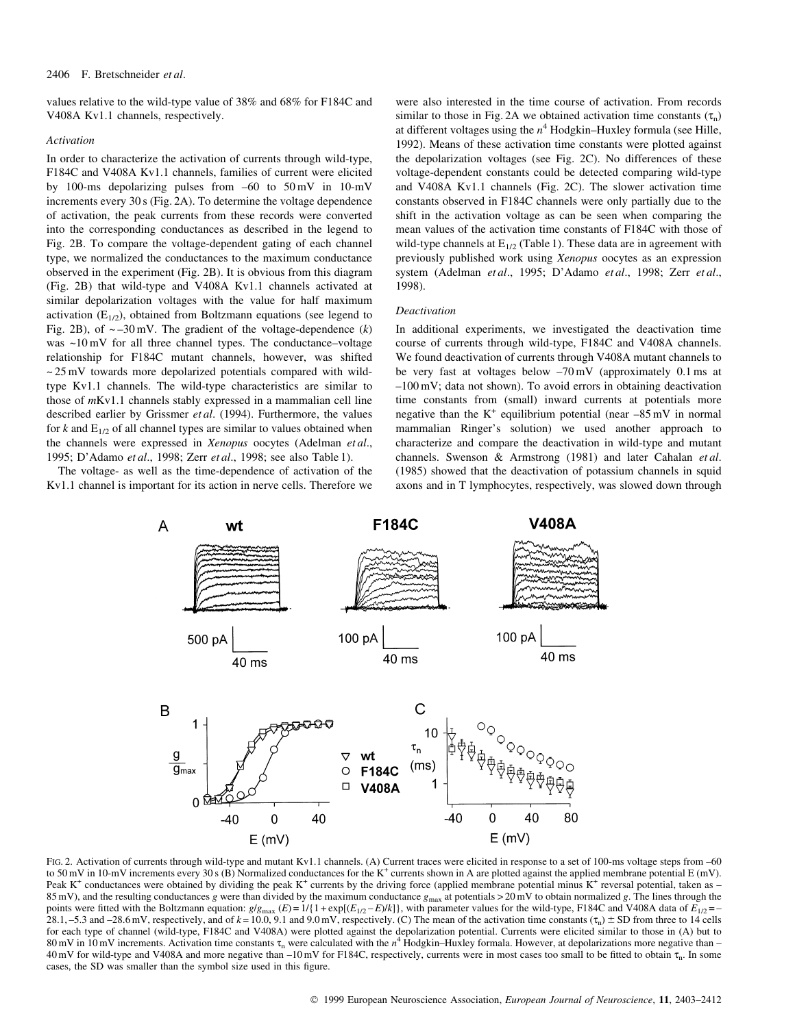#### 2406 F. Bretschneider et al.

values relative to the wild-type value of 38% and 68% for F184C and V408A Kv1.1 channels, respectively.

## Activation

In order to characterize the activation of currents through wild-type, F184C and V408A Kv1.1 channels, families of current were elicited by 100-ms depolarizing pulses from  $-60$  to  $50 \text{ mV}$  in 10-mV increments every 30 s (Fig. 2A). To determine the voltage dependence of activation, the peak currents from these records were converted into the corresponding conductances as described in the legend to Fig. 2B. To compare the voltage-dependent gating of each channel type, we normalized the conductances to the maximum conductance observed in the experiment (Fig. 2B). It is obvious from this diagram (Fig. 2B) that wild-type and V408A Kv1.1 channels activated at similar depolarization voltages with the value for half maximum activation  $(E_{1/2})$ , obtained from Boltzmann equations (see legend to Fig. 2B), of  $\sim -30$  mV. The gradient of the voltage-dependence (k) was  $~10\,\text{mV}$  for all three channel types. The conductance-voltage relationship for F184C mutant channels, however, was shifted  $\sim$  25 mV towards more depolarized potentials compared with wildtype Kv1.1 channels. The wild-type characteristics are similar to those of mKv1.1 channels stably expressed in a mammalian cell line described earlier by Grissmer et al. (1994). Furthermore, the values for  $k$  and  $E_{1/2}$  of all channel types are similar to values obtained when the channels were expressed in Xenopus oocytes (Adelman et al., 1995; D'Adamo et al., 1998; Zerr et al., 1998; see also Table 1).

The voltage- as well as the time-dependence of activation of the Kv1.1 channel is important for its action in nerve cells. Therefore we

were also interested in the time course of activation. From records similar to those in Fig. 2A we obtained activation time constants  $(\tau_n)$ at different voltages using the  $n<sup>4</sup>$  Hodgkin–Huxley formula (see Hille, 1992). Means of these activation time constants were plotted against the depolarization voltages (see Fig. 2C). No differences of these voltage-dependent constants could be detected comparing wild-type and V408A Kv1.1 channels (Fig. 2C). The slower activation time constants observed in F184C channels were only partially due to the shift in the activation voltage as can be seen when comparing the mean values of the activation time constants of F184C with those of wild-type channels at  $E_{1/2}$  (Table 1). These data are in agreement with previously published work using Xenopus oocytes as an expression system (Adelman et al., 1995; D'Adamo et al., 1998; Zerr et al., 1998).

## Deactivation

In additional experiments, we investigated the deactivation time course of currents through wild-type, F184C and V408A channels. We found deactivation of currents through V408A mutant channels to be very fast at voltages below  $-70 \text{ mV}$  (approximately 0.1 ms at  $-100$  mV; data not shown). To avoid errors in obtaining deactivation time constants from (small) inward currents at potentials more negative than the  $K^+$  equilibrium potential (near  $-85$  mV in normal mammalian Ringer's solution) we used another approach to characterize and compare the deactivation in wild-type and mutant channels. Swenson & Armstrong (1981) and later Cahalan et al. (1985) showed that the deactivation of potassium channels in squid axons and in T lymphocytes, respectively, was slowed down through



FIG. 2. Activation of currents through wild-type and mutant Kv1.1 channels. (A) Current traces were elicited in response to a set of 100-ms voltage steps from -60 to 50 mV in 10-mV increments every 30 s (B) Normalized conductances for the K<sup>+</sup> currents shown in A are plotted against the applied membrane potential E (mV). Peak K<sup>+</sup> conductances were obtained by dividing the peak K<sup>+</sup> currents by the driving force (applied membrane potential minus K<sup>+</sup> reversal potential, taken as  $-$ 85 mV), and the resulting conductances g were than divided by the maximum conductance  $g_{\text{max}}$  at potentials > 20 mV to obtain normalized g. The lines through the points were fitted with the Boltzmann equation:  $g/g_{\text{max}}(E) = 1/{1 + \exp[(E_{1/2} - E)/k]}$ , with parameter values for the wild-type, F184C and V408A data of  $E_{1/2}$  = -28.1, -5.3 and -28.6 mV, respectively, and of  $k = 10.0$ , 9.1 and 9.0 mV, respectively. (C) The mean of the activation time constants ( $\tau_n$ )  $\pm$  SD from three to 14 cells for each type of channel (wild-type, F184C and V408A) were plotted against the depolarization potential. Currents were elicited similar to those in (A) but to 80 mV in 10 mV increments. Activation time constants  $\tau_n$  were calculated with the  $n^4$  Hodgkin–Huxley formala. However, at depolarizations more negative than – 40 mV for wild-type and V408A and more negative than  $-10$  mV for F184C, respectively, currents were in most cases too small to be fitted to obtain  $\tau_n$ . In some cases, the SD was smaller than the symbol size used in this figure.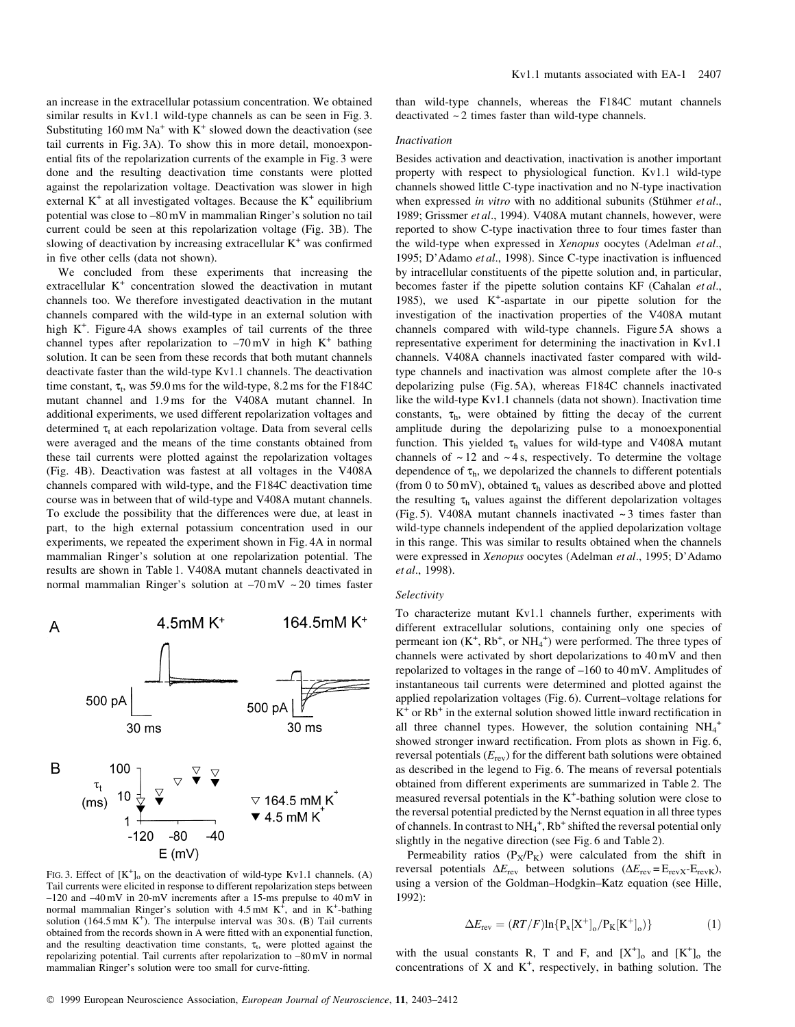an increase in the extracellular potassium concentration. We obtained similar results in Kv1.1 wild-type channels as can be seen in Fig. 3. Substituting  $160 \text{ mM Na}^+$  with  $K^+$  slowed down the deactivation (see tail currents in Fig. 3A). To show this in more detail, monoexponential fits of the repolarization currents of the example in Fig. 3 were done and the resulting deactivation time constants were plotted against the repolarization voltage. Deactivation was slower in high external  $K^+$  at all investigated voltages. Because the  $K^+$  equilibrium potential was close to  $-80$  mV in mammalian Ringer's solution no tail current could be seen at this repolarization voltage (Fig. 3B). The slowing of deactivation by increasing extracellular  $K^+$  was confirmed in five other cells (data not shown).

We concluded from these experiments that increasing the extracellular K<sup>+</sup> concentration slowed the deactivation in mutant channels too. We therefore investigated deactivation in the mutant channels compared with the wild-type in an external solution with high K<sup>+</sup>. Figure 4A shows examples of tail currents of the three channel types after repolarization to  $-70$  mV in high K<sup>+</sup> bathing solution. It can be seen from these records that both mutant channels deactivate faster than the wild-type Kv1.1 channels. The deactivation time constant,  $\tau_t$ , was 59.0 ms for the wild-type, 8.2 ms for the F184C mutant channel and 1.9 ms for the V408A mutant channel. In additional experiments, we used different repolarization voltages and determined  $\tau_t$  at each repolarization voltage. Data from several cells were averaged and the means of the time constants obtained from these tail currents were plotted against the repolarization voltages (Fig. 4B). Deactivation was fastest at all voltages in the V408A channels compared with wild-type, and the F184C deactivation time course was in between that of wild-type and V408A mutant channels. To exclude the possibility that the differences were due, at least in part, to the high external potassium concentration used in our experiments, we repeated the experiment shown in Fig. 4A in normal mammalian Ringer's solution at one repolarization potential. The results are shown in Table 1. V408A mutant channels deactivated in normal mammalian Ringer's solution at  $-70$  mV  $\sim$  20 times faster



FIG. 3. Effect of  $[K^+]_0$  on the deactivation of wild-type Kv1.1 channels. (A) Tail currents were elicited in response to different repolarization steps between  $-120$  and  $-40$  mV in 20-mV increments after a 15-ms prepulse to  $40$  mV in normal mammalian Ringer's solution with  $4.5 \text{ mM K}^+$ , and in K<sup>+</sup>-bathing solution (164.5 mM  $K^+$ ). The interpulse interval was 30 s. (B) Tail currents obtained from the records shown in A were fitted with an exponential function, and the resulting deactivation time constants,  $\tau_t$ , were plotted against the repolarizing potential. Tail currents after repolarization to  $-80$  mV in normal mammalian Ringer's solution were too small for curve-fitting.

than wild-type channels, whereas the F184C mutant channels deactivated  $\sim$  2 times faster than wild-type channels.

# Inactivation

Besides activation and deactivation, inactivation is another important property with respect to physiological function. Kv1.1 wild-type channels showed little C-type inactivation and no N-type inactivation when expressed in vitro with no additional subunits (Stühmer et al., 1989; Grissmer et al., 1994). V408A mutant channels, however, were reported to show C-type inactivation three to four times faster than the wild-type when expressed in Xenopus oocytes (Adelman et al., 1995; D'Adamo et al., 1998). Since C-type inactivation is influenced by intracellular constituents of the pipette solution and, in particular, becomes faster if the pipette solution contains KF (Cahalan et al., 1985), we used  $K^+$ -aspartate in our pipette solution for the investigation of the inactivation properties of the V408A mutant channels compared with wild-type channels. Figure 5A shows a representative experiment for determining the inactivation in Kv1.1 channels. V408A channels inactivated faster compared with wildtype channels and inactivation was almost complete after the 10-s depolarizing pulse (Fig. 5A), whereas F184C channels inactivated like the wild-type Kv1.1 channels (data not shown). Inactivation time constants,  $\tau_h$ , were obtained by fitting the decay of the current amplitude during the depolarizing pulse to a monoexponential function. This yielded  $\tau_h$  values for wild-type and V408A mutant channels of  $\sim$  12 and  $\sim$  4 s, respectively. To determine the voltage dependence of  $\tau_h$ , we depolarized the channels to different potentials (from 0 to 50 mV), obtained  $\tau_h$  values as described above and plotted the resulting  $\tau_h$  values against the different depolarization voltages (Fig. 5). V408A mutant channels inactivated  $\sim$  3 times faster than wild-type channels independent of the applied depolarization voltage in this range. This was similar to results obtained when the channels were expressed in Xenopus oocytes (Adelman et al., 1995; D'Adamo et al., 1998).

## Selectivity

To characterize mutant Kv1.1 channels further, experiments with different extracellular solutions, containing only one species of permeant ion  $(K^+, Rb^+, or NH<sub>4</sub><sup>+</sup>)$  were performed. The three types of channels were activated by short depolarizations to 40 mV and then repolarized to voltages in the range of  $-160$  to  $40 \text{ mV}$ . Amplitudes of instantaneous tail currents were determined and plotted against the applied repolarization voltages (Fig. 6). Current-voltage relations for  $K^+$  or  $Rb^+$  in the external solution showed little inward rectification in all three channel types. However, the solution containing  $NH_4^+$ showed stronger inward rectification. From plots as shown in Fig. 6, reversal potentials  $(E_{\text{rev}})$  for the different bath solutions were obtained as described in the legend to Fig. 6. The means of reversal potentials obtained from different experiments are summarized in Table 2. The measured reversal potentials in the  $K^+$ -bathing solution were close to the reversal potential predicted by the Nernst equation in all three types of channels. In contrast to  $NH_4^+$ ,  $Rh^+$  shifted the reversal potential only slightly in the negative direction (see Fig. 6 and Table 2).

Permeability ratios  $(P_X/P_K)$  were calculated from the shift in reversal potentials  $\Delta E_{\text{rev}}$  between solutions  $(\Delta E_{\text{rev}} = E_{\text{revX}} - E_{\text{revK}})$ , using a version of the Goldman-Hodgkin-Katz equation (see Hille, 1992):

$$
\Delta E_{\rm rev} = (RT/F)\ln\{P_x[X^+]_0/P_K[K^+]_0)\}\tag{1}
$$

with the usual constants R, T and F, and  $[X^+]_0$  and  $[K^+]_0$  the concentrations of  $X$  and  $K^+$ , respectively, in bathing solution. The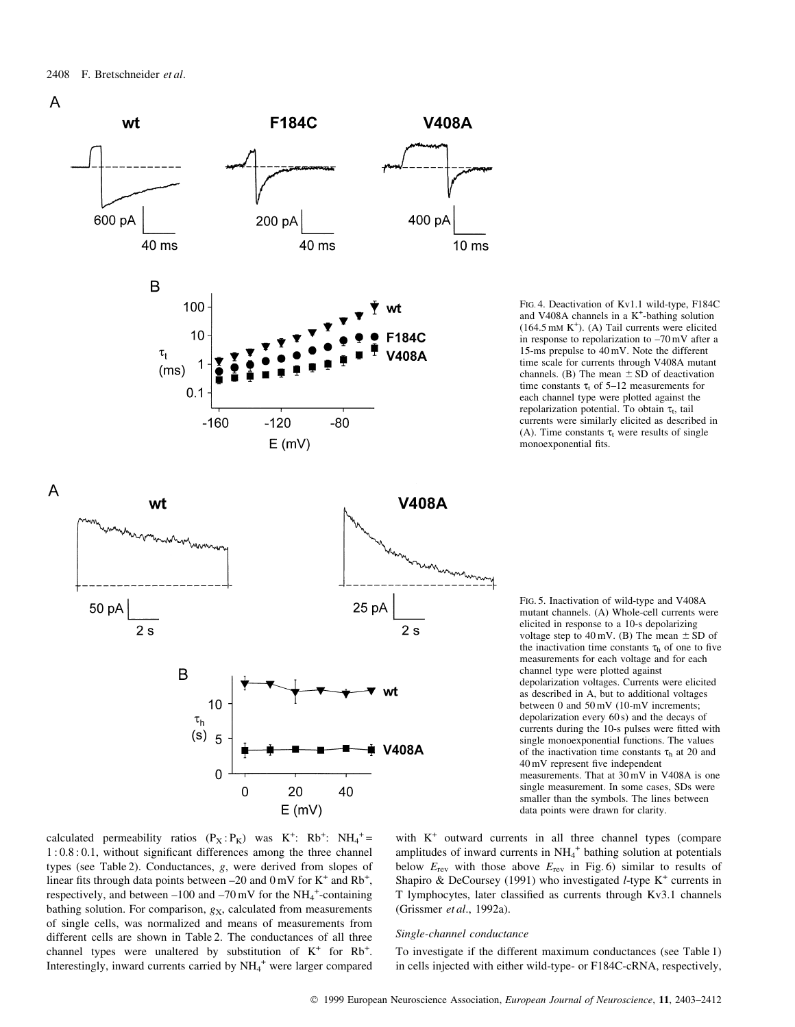

FIG. 4. Deactivation of Kv1.1 wild-type, F184C and V408A channels in a  $K^+$ -bathing solution  $(164.5 \text{ mm K}^+)$ . (A) Tail currents were elicited in response to repolarization to  $-70$  mV after a 15-ms prepulse to 40 mV. Note the different time scale for currents through V408A mutant channels. (B) The mean  $\pm$  SD of deactivation time constants  $\tau_t$  of 5–12 measurements for each channel type were plotted against the repolarization potential. To obtain  $\tau_t$ , tail currents were similarly elicited as described in (A). Time constants  $\tau_t$  were results of single monoexponential fits.

FIG. 5. Inactivation of wild-type and V408A mutant channels. (A) Whole-cell currents were elicited in response to a 10-s depolarizing voltage step to 40 mV. (B) The mean  $\pm$  SD of the inactivation time constants  $\tau_h$  of one to five measurements for each voltage and for each channel type were plotted against depolarization voltages. Currents were elicited as described in A, but to additional voltages between 0 and 50 mV (10-mV increments; depolarization every 60 s) and the decays of currents during the 10-s pulses were fitted with single monoexponential functions. The values of the inactivation time constants  $\tau_h$  at 20 and 40 mV represent five independent measurements. That at 30 mV in V408A is one single measurement. In some cases, SDs were smaller than the symbols. The lines between data points were drawn for clarity.



 $\Omega$ 

 $\mathbf 0$ 

20

 $E$  (mV)

40

with  $K^+$  outward currents in all three channel types (compare amplitudes of inward currents in  $NH_4^+$  bathing solution at potentials below  $E_{\text{rev}}$  with those above  $E_{\text{rev}}$  in Fig. 6) similar to results of Shapiro & DeCoursey (1991) who investigated *l*-type  $K^+$  currents in T lymphocytes, later classified as currents through Kv3.1 channels (Grissmer et al., 1992a).

#### Single-channel conductance

To investigate if the different maximum conductances (see Table 1) in cells injected with either wild-type- or F184C-cRNA, respectively,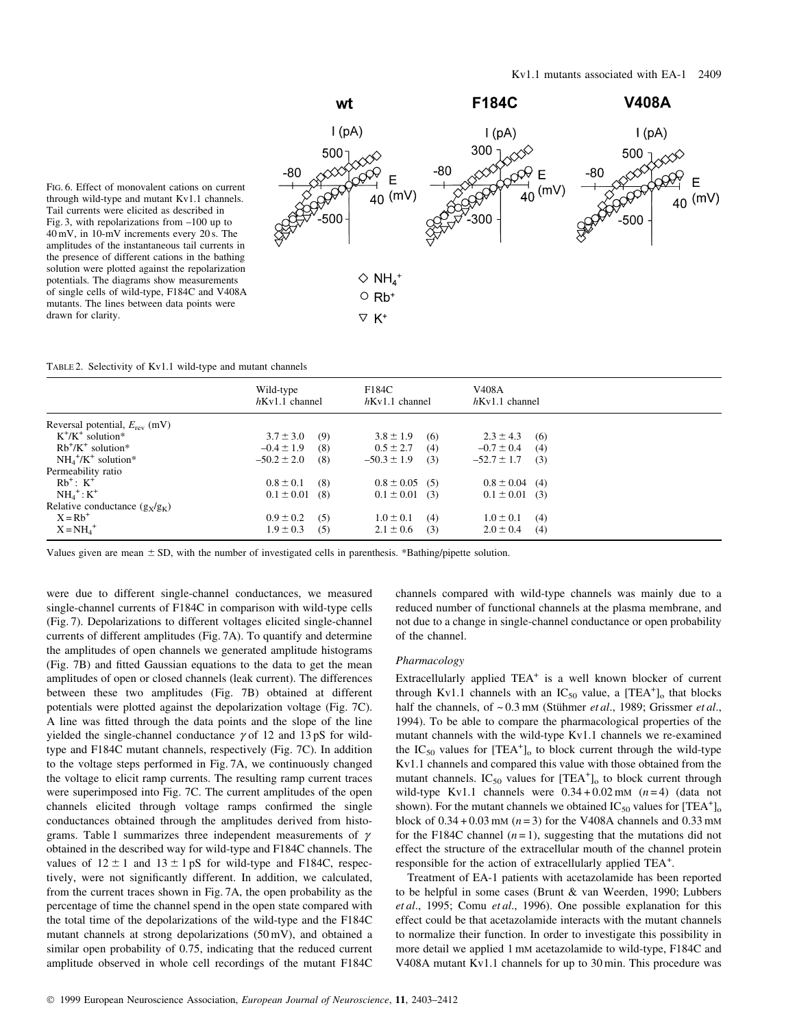

FIG. 6. Effect of monovalent cations on current through wild-type and mutant Kv1.1 channels. Tail currents were elicited as described in Fig. 3, with repolarizations from  $-100$  up to 40 mV, in 10-mV increments every 20 s. The amplitudes of the instantaneous tail currents in the presence of different cations in the bathing solution were plotted against the repolarization potentials. The diagrams show measurements of single cells of wild-type, F184C and V408A mutants. The lines between data points were drawn for clarity.

TABLE 2. Selectivity of Kv1.1 wild-type and mutant channels

|                                           | Wild-type<br>$h$ Kv1.1 channel | F184C<br>$h$ Kv1.1 channel | V <sub>408</sub> A<br>$h$ Kv1.1 channel |  |
|-------------------------------------------|--------------------------------|----------------------------|-----------------------------------------|--|
| Reversal potential, $E_{\text{rev}}$ (mV) |                                |                            |                                         |  |
| $K^+/K^+$ solution*                       | $3.7 \pm 3.0$<br>(9)           | $3.8 \pm 1.9$<br>(6)       | $2.3 \pm 4.3$<br>(6)                    |  |
| $Rb^{+}/K^{+}$ solution*                  | $-0.4 \pm 1.9$<br>(8)          | $0.5 \pm 2.7$<br>(4)       | $-0.7 \pm 0.4$<br>(4)                   |  |
| $NH_4^+/\text{K}^+$ solution*             | $-50.2 \pm 2.0$<br>(8)         | $-50.3 \pm 1.9$<br>(3)     | $-52.7 \pm 1.7$<br>(3)                  |  |
| Permeability ratio                        |                                |                            |                                         |  |
| $Rb^+$ : $K^+$                            | $0.8 \pm 0.1$<br>(8)           | $0.8 \pm 0.05$ (5)         | $0.8 \pm 0.04$ (4)                      |  |
| $NH_4^+$ : $K^+$                          | $0.1 \pm 0.01$<br>(8)          | $0.1 \pm 0.01$ (3)         | $0.1 \pm 0.01$ (3)                      |  |
| Relative conductance $(g_x/g_x)$          |                                |                            |                                         |  |
| $X = Rb^+$                                | $0.9 \pm 0.2$<br>(5)           | $1.0 \pm 0.1$<br>(4)       | $1.0 \pm 0.1$<br>(4)                    |  |
| $X = NH4+$                                | $1.9 \pm 0.3$<br>(5)           | $2.1 \pm 0.6$<br>(3)       | $2.0 \pm 0.4$<br>(4)                    |  |

Values given are mean  $\pm$  SD, with the number of investigated cells in parenthesis. \*Bathing/pipette solution.

were due to different single-channel conductances, we measured single-channel currents of F184C in comparison with wild-type cells (Fig. 7). Depolarizations to different voltages elicited single-channel currents of different amplitudes (Fig. 7A). To quantify and determine the amplitudes of open channels we generated amplitude histograms (Fig. 7B) and fitted Gaussian equations to the data to get the mean amplitudes of open or closed channels (leak current). The differences between these two amplitudes (Fig. 7B) obtained at different potentials were plotted against the depolarization voltage (Fig. 7C). A line was fitted through the data points and the slope of the line yielded the single-channel conductance  $\gamma$  of 12 and 13 pS for wildtype and F184C mutant channels, respectively (Fig. 7C). In addition to the voltage steps performed in Fig. 7A, we continuously changed the voltage to elicit ramp currents. The resulting ramp current traces were superimposed into Fig. 7C. The current amplitudes of the open channels elicited through voltage ramps confirmed the single conductances obtained through the amplitudes derived from histograms. Table 1 summarizes three independent measurements of  $\gamma$ obtained in the described way for wild-type and F184C channels. The values of  $12 \pm 1$  and  $13 \pm 1$  pS for wild-type and F184C, respectively, were not significantly different. In addition, we calculated, from the current traces shown in Fig. 7A, the open probability as the percentage of time the channel spend in the open state compared with the total time of the depolarizations of the wild-type and the F184C mutant channels at strong depolarizations (50 mV), and obtained a similar open probability of 0.75, indicating that the reduced current amplitude observed in whole cell recordings of the mutant F184C

channels compared with wild-type channels was mainly due to a reduced number of functional channels at the plasma membrane, and not due to a change in single-channel conductance or open probability of the channel.

# Pharmacology

Extracellularly applied  $TEA<sup>+</sup>$  is a well known blocker of current through Kv1.1 channels with an  $IC_{50}$  value, a  $[TEA^+]_0$  that blocks half the channels, of  $\sim 0.3$  mM (Stühmer et al., 1989; Grissmer et al., 1994). To be able to compare the pharmacological properties of the mutant channels with the wild-type Kv1.1 channels we re-examined the  $IC_{50}$  values for  $[TEA^+]_0$  to block current through the wild-type Kv1.1 channels and compared this value with those obtained from the mutant channels.  $IC_{50}$  values for  $[TEA^+]_0$  to block current through wild-type Kv1.1 channels were  $0.34 + 0.02$  mM  $(n=4)$  (data not shown). For the mutant channels we obtained  $IC_{50}$  values for  $[TEA^+]_0$ block of  $0.34 + 0.03$  mM ( $n = 3$ ) for the V408A channels and 0.33 mM for the F184C channel  $(n=1)$ , suggesting that the mutations did not effect the structure of the extracellular mouth of the channel protein responsible for the action of extracellularly applied TEA<sup>+</sup>.

Treatment of EA-1 patients with acetazolamide has been reported to be helpful in some cases (Brunt & van Weerden, 1990; Lubbers et al., 1995; Comu et al., 1996). One possible explanation for this effect could be that acetazolamide interacts with the mutant channels to normalize their function. In order to investigate this possibility in more detail we applied 1 mM acetazolamide to wild-type, F184C and V408A mutant Kv1.1 channels for up to 30 min. This procedure was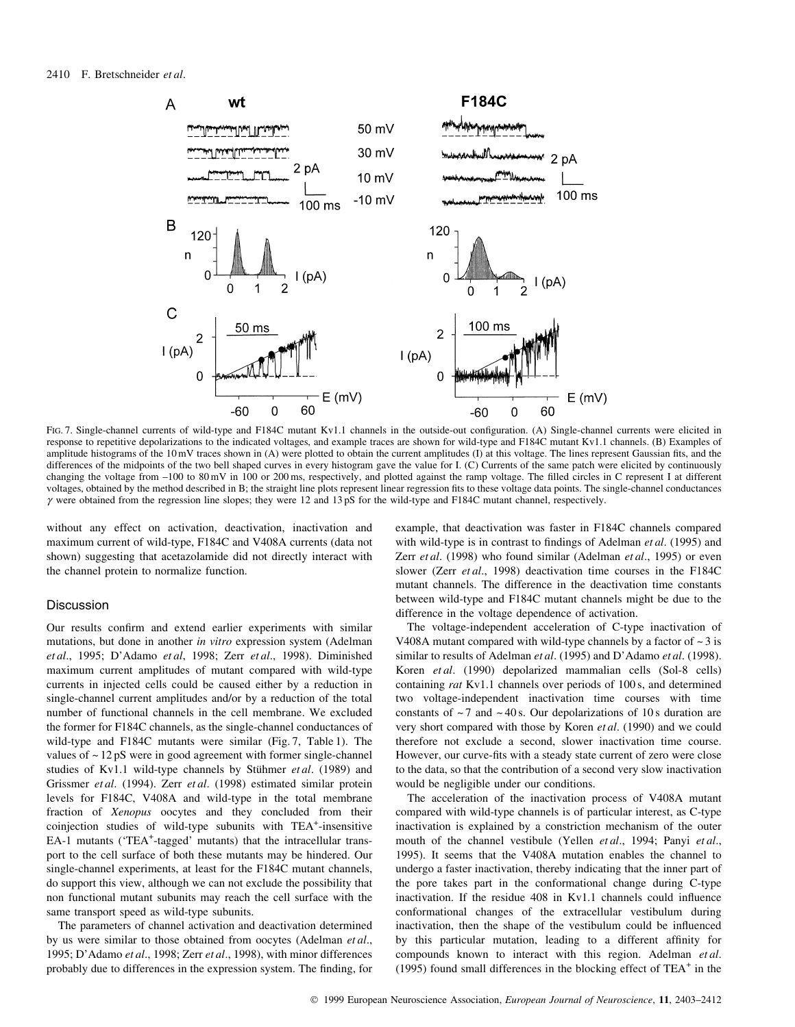

FIG. 7. Single-channel currents of wild-type and F184C mutant Kv1.1 channels in the outside-out configuration. (A) Single-channel currents were elicited in response to repetitive depolarizations to the indicated voltages, and example traces are shown for wild-type and F184C mutant Kv1.1 channels. (B) Examples of amplitude histograms of the 10 mV traces shown in (A) were plotted to obtain the current amplitudes (I) at this voltage. The lines represent Gaussian fits, and the differences of the midpoints of the two bell shaped curves in every histogram gave the value for I. (C) Currents of the same patch were elicited by continuously changing the voltage from -100 to 80 mV in 100 or 200 ms, respectively, and plotted against the ramp voltage. The filled circles in C represent I at different voltages, obtained by the method described in B; the straight line plots represent linear regression fits to these voltage data points. The single-channel conductances  $\gamma$  were obtained from the regression line slopes; they were 12 and 13 pS for the wild-type and F184C mutant channel, respectively.

without any effect on activation, deactivation, inactivation and maximum current of wild-type, F184C and V408A currents (data not shown) suggesting that acetazolamide did not directly interact with the channel protein to normalize function.

## **Discussion**

Our results confirm and extend earlier experiments with similar mutations, but done in another in vitro expression system (Adelman et al., 1995; D'Adamo et al, 1998; Zerr et al., 1998). Diminished maximum current amplitudes of mutant compared with wild-type currents in injected cells could be caused either by a reduction in single-channel current amplitudes and/or by a reduction of the total number of functional channels in the cell membrane. We excluded the former for F184C channels, as the single-channel conductances of wild-type and F184C mutants were similar (Fig. 7, Table 1). The values of  $\sim$  12 pS were in good agreement with former single-channel studies of Kv1.1 wild-type channels by Stühmer  $et al.$  (1989) and Grissmer et al. (1994). Zerr et al. (1998) estimated similar protein levels for F184C, V408A and wild-type in the total membrane fraction of Xenopus oocytes and they concluded from their coinjection studies of wild-type subunits with TEA<sup>+</sup>-insensitive EA-1 mutants ('TEA<sup>+</sup>-tagged' mutants) that the intracellular transport to the cell surface of both these mutants may be hindered. Our single-channel experiments, at least for the F184C mutant channels, do support this view, although we can not exclude the possibility that non functional mutant subunits may reach the cell surface with the same transport speed as wild-type subunits.

The parameters of channel activation and deactivation determined by us were similar to those obtained from oocytes (Adelman et al., 1995; D'Adamo et al., 1998; Zerr et al., 1998), with minor differences probably due to differences in the expression system. The finding, for example, that deactivation was faster in F184C channels compared with wild-type is in contrast to findings of Adelman et al. (1995) and Zerr et al. (1998) who found similar (Adelman et al., 1995) or even slower (Zerr et al., 1998) deactivation time courses in the F184C mutant channels. The difference in the deactivation time constants between wild-type and F184C mutant channels might be due to the difference in the voltage dependence of activation.

The voltage-independent acceleration of C-type inactivation of V408A mutant compared with wild-type channels by a factor of  $\sim$  3 is similar to results of Adelman et al. (1995) and D'Adamo et al. (1998). Koren et al. (1990) depolarized mammalian cells (Sol-8 cells) containing rat Kv1.1 channels over periods of 100 s, and determined two voltage-independent inactivation time courses with time constants of  $\sim$  7 and  $\sim$  40 s. Our depolarizations of 10 s duration are very short compared with those by Koren et al. (1990) and we could therefore not exclude a second, slower inactivation time course. However, our curve-fits with a steady state current of zero were close to the data, so that the contribution of a second very slow inactivation would be negligible under our conditions.

The acceleration of the inactivation process of V408A mutant compared with wild-type channels is of particular interest, as C-type inactivation is explained by a constriction mechanism of the outer mouth of the channel vestibule (Yellen et al., 1994; Panyi et al., 1995). It seems that the V408A mutation enables the channel to undergo a faster inactivation, thereby indicating that the inner part of the pore takes part in the conformational change during C-type inactivation. If the residue  $408$  in Kv1.1 channels could influence conformational changes of the extracellular vestibulum during inactivation, then the shape of the vestibulum could be influenced by this particular mutation, leading to a different affinity for compounds known to interact with this region. Adelman et al. (1995) found small differences in the blocking effect of  $TEA^+$  in the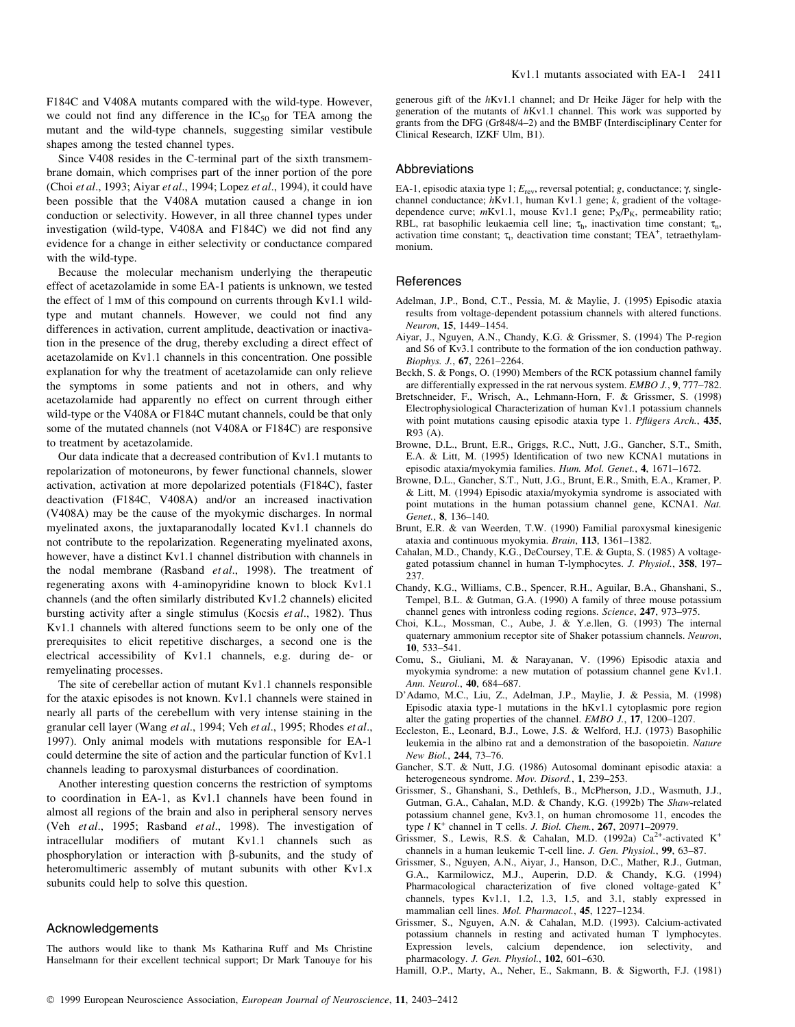F184C and V408A mutants compared with the wild-type. However, we could not find any difference in the  $IC_{50}$  for TEA among the mutant and the wild-type channels, suggesting similar vestibule shapes among the tested channel types.

Since V408 resides in the C-terminal part of the sixth transmembrane domain, which comprises part of the inner portion of the pore (Choi et al., 1993; Aiyar et al., 1994; Lopez et al., 1994), it could have been possible that the V408A mutation caused a change in ion conduction or selectivity. However, in all three channel types under investigation (wild-type, V408A and F184C) we did not find any evidence for a change in either selectivity or conductance compared with the wild-type.

Because the molecular mechanism underlying the therapeutic effect of acetazolamide in some EA-1 patients is unknown, we tested the effect of 1 mM of this compound on currents through Kv1.1 wildtype and mutant channels. However, we could not find any differences in activation, current amplitude, deactivation or inactivation in the presence of the drug, thereby excluding a direct effect of acetazolamide on Kv1.1 channels in this concentration. One possible explanation for why the treatment of acetazolamide can only relieve the symptoms in some patients and not in others, and why acetazolamide had apparently no effect on current through either wild-type or the V408A or F184C mutant channels, could be that only some of the mutated channels (not V408A or F184C) are responsive to treatment by acetazolamide.

Our data indicate that a decreased contribution of Kv1.1 mutants to repolarization of motoneurons, by fewer functional channels, slower activation, activation at more depolarized potentials (F184C), faster deactivation (F184C, V408A) and/or an increased inactivation (V408A) may be the cause of the myokymic discharges. In normal myelinated axons, the juxtaparanodally located Kv1.1 channels do not contribute to the repolarization. Regenerating myelinated axons, however, have a distinct Kv1.1 channel distribution with channels in the nodal membrane (Rasband et al., 1998). The treatment of regenerating axons with 4-aminopyridine known to block Kv1.1 channels (and the often similarly distributed Kv1.2 channels) elicited bursting activity after a single stimulus (Kocsis et al., 1982). Thus Kv1.1 channels with altered functions seem to be only one of the prerequisites to elicit repetitive discharges, a second one is the electrical accessibility of Kv1.1 channels, e.g. during de- or remyelinating processes.

The site of cerebellar action of mutant Kv1.1 channels responsible for the ataxic episodes is not known. Kv1.1 channels were stained in nearly all parts of the cerebellum with very intense staining in the granular cell layer (Wang et al., 1994; Veh et al., 1995; Rhodes et al., 1997). Only animal models with mutations responsible for EA-1 could determine the site of action and the particular function of Kv1.1 channels leading to paroxysmal disturbances of coordination.

Another interesting question concerns the restriction of symptoms to coordination in EA-1, as Kv1.1 channels have been found in almost all regions of the brain and also in peripheral sensory nerves (Veh et al., 1995; Rasband et al., 1998). The investigation of intracellular modifiers of mutant Kv1.1 channels such as phosphorylation or interaction with  $\beta$ -subunits, and the study of heteromultimeric assembly of mutant subunits with other Kv1.x subunits could help to solve this question.

# Acknowledgements

The authors would like to thank Ms Katharina Ruff and Ms Christine Hanselmann for their excellent technical support; Dr Mark Tanouye for his generous gift of the  $hKv1.1$  channel; and Dr Heike Jäger for help with the generation of the mutants of hKv1.1 channel. This work was supported by grants from the DFG (Gr848/4-2) and the BMBF (Interdisciplinary Center for Clinical Research, IZKF Ulm, B1).

## Abbreviations

EA-1, episodic ataxia type 1;  $E_{\text{rev}}$ , reversal potential; g, conductance;  $\gamma$ , singlechannel conductance; hKv1.1, human Kv1.1 gene; k, gradient of the voltagedependence curve;  $mKv1.1$ , mouse Kv1.1 gene;  $P_X/P_K$ , permeability ratio; RBL, rat basophilic leukaemia cell line;  $\tau_h$ , inactivation time constant;  $\tau_n$ , activation time constant;  $\tau_t$ , deactivation time constant; TEA<sup>+</sup>, tetraethylammonium.

#### **References**

- Adelman, J.P., Bond, C.T., Pessia, M. & Maylie, J. (1995) Episodic ataxia results from voltage-dependent potassium channels with altered functions. Neuron, 15, 1449-1454.
- Aiyar, J., Nguyen, A.N., Chandy, K.G. & Grissmer, S. (1994) The P-region and S6 of Kv3.1 contribute to the formation of the ion conduction pathway. Biophys. J., 67, 2261-2264.
- Beckh, S. & Pongs, O. (1990) Members of the RCK potassium channel family are differentially expressed in the rat nervous system. EMBO J., 9, 777-782.
- Bretschneider, F., Wrisch, A., Lehmann-Horn, F. & Grissmer, S. (1998) Electrophysiological Characterization of human Kv1.1 potassium channels with point mutations causing episodic ataxia type 1. Pflügers Arch., 435, R93 (A).
- Browne, D.L., Brunt, E.R., Griggs, R.C., Nutt, J.G., Gancher, S.T., Smith, E.A. & Litt, M. (1995) Identification of two new KCNA1 mutations in episodic ataxia/myokymia families. Hum. Mol. Genet., 4, 1671-1672.
- Browne, D.L., Gancher, S.T., Nutt, J.G., Brunt, E.R., Smith, E.A., Kramer, P. & Litt, M. (1994) Episodic ataxia/myokymia syndrome is associated with point mutations in the human potassium channel gene, KCNA1. Nat. Genet., 8, 136-140.
- Brunt, E.R. & van Weerden, T.W. (1990) Familial paroxysmal kinesigenic ataxia and continuous myokymia. Brain, 113, 1361-1382.
- Cahalan, M.D., Chandy, K.G., DeCoursey, T.E. & Gupta, S. (1985) A voltagegated potassium channel in human T-lymphocytes. J. Physiol., 358, 197-237.
- Chandy, K.G., Williams, C.B., Spencer, R.H., Aguilar, B.A., Ghanshani, S., Tempel, B.L. & Gutman, G.A. (1990) A family of three mouse potassium channel genes with intronless coding regions. Science, 247, 973-975.
- Choi, K.L., Mossman, C., Aube, J. & Y.e.llen, G. (1993) The internal quaternary ammonium receptor site of Shaker potassium channels. Neuron, 10, 533-541.
- Comu, S., Giuliani, M. & Narayanan, V. (1996) Episodic ataxia and myokymia syndrome: a new mutation of potassium channel gene Kv1.1. Ann. Neurol., 40, 684-687.
- D'Adamo, M.C., Liu, Z., Adelman, J.P., Maylie, J. & Pessia, M. (1998) Episodic ataxia type-1 mutations in the hKv1.1 cytoplasmic pore region alter the gating properties of the channel.  $EMBO$  J., 17, 1200–1207.
- Eccleston, E., Leonard, B.J., Lowe, J.S. & Welford, H.J. (1973) Basophilic leukemia in the albino rat and a demonstration of the basopoietin. Nature New Biol., 244, 73-76.
- Gancher, S.T. & Nutt, J.G. (1986) Autosomal dominant episodic ataxia: a heterogeneous syndrome. Mov. Disord., 1, 239-253.
- Grissmer, S., Ghanshani, S., Dethlefs, B., McPherson, J.D., Wasmuth, J.J., Gutman, G.A., Cahalan, M.D. & Chandy, K.G. (1992b) The Shaw-related potassium channel gene, Kv3.1, on human chromosome 11, encodes the type  $l$  K<sup>+</sup> channel in T cells. J. Biol. Chem., 267, 20971-20979.
- Grissmer, S., Lewis, R.S. & Cahalan, M.D. (1992a) Ca<sup>2+</sup>-activated K<sup>+</sup> channels in a human leukemic T-cell line. J. Gen. Physiol., 99, 63-87.
- Grissmer, S., Nguyen, A.N., Aiyar, J., Hanson, D.C., Mather, R.J., Gutman, G.A., Karmilowicz, M.J., Auperin, D.D. & Chandy, K.G. (1994) Pharmacological characterization of five cloned voltage-gated  $K^+$ channels, types Kv1.1, 1.2, 1.3, 1.5, and 3.1, stably expressed in mammalian cell lines. Mol. Pharmacol., 45, 1227-1234.
- Grissmer, S., Nguyen, A.N. & Cahalan, M.D. (1993). Calcium-activated potassium channels in resting and activated human T lymphocytes. Expression levels, calcium dependence, ion selectivity, and pharmacology. J. Gen. Physiol.,  $102$ , 601-630.
- Hamill, O.P., Marty, A., Neher, E., Sakmann, B. & Sigworth, F.J. (1981)